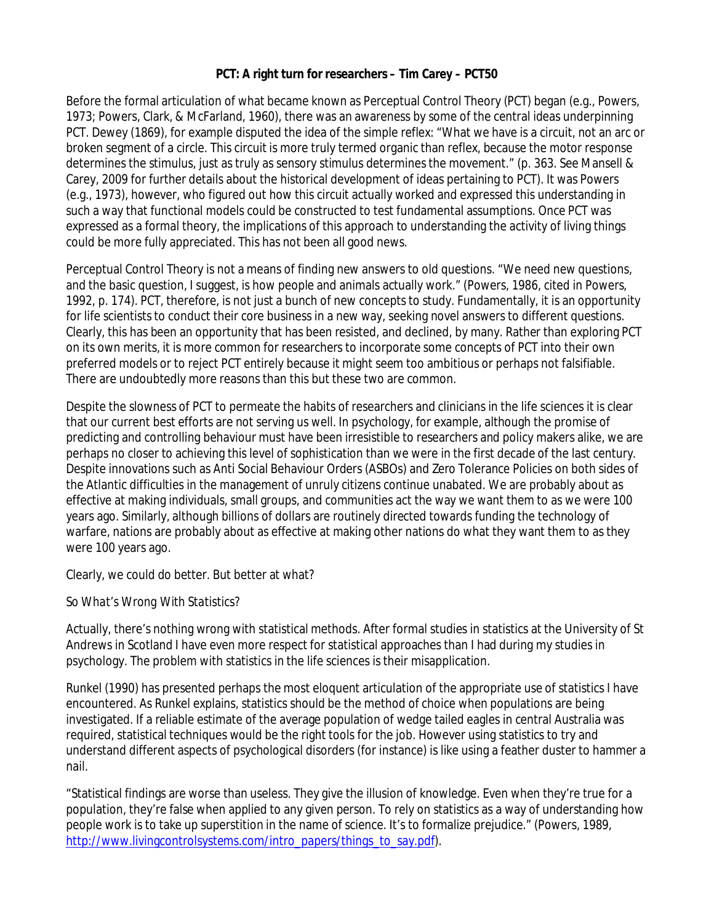# **PCT: A right turn for researchers – Tim Carey – PCT50**

Before the formal articulation of what became known as Perceptual Control Theory (PCT) began (e.g., Powers, 1973; Powers, Clark, & McFarland, 1960), there was an awareness by some of the central ideas underpinning PCT. Dewey (1869), for example disputed the idea of the simple reflex: "What we have is a circuit, not an arc or broken segment of a circle. This circuit is more truly termed organic than reflex, because the motor response determines the stimulus, just as truly as sensory stimulus determines the movement." (p. 363. See Mansell & Carey, 2009 for further details about the historical development of ideas pertaining to PCT). It was Powers (e.g., 1973), however, who figured out how this circuit actually worked and expressed this understanding in such a way that functional models could be constructed to test fundamental assumptions. Once PCT was expressed as a formal theory, the implications of this approach to understanding the activity of living things could be more fully appreciated. This has not been all good news.

Perceptual Control Theory is not a means of finding new answers to old questions. "We need new questions, and the basic question, I suggest, is how people and animals actually work." (Powers, 1986, cited in Powers, 1992, p. 174). PCT, therefore, is not just a bunch of new concepts to study. Fundamentally, it is an opportunity for life scientists to conduct their core business in a new way, seeking novel answers to different questions. Clearly, this has been an opportunity that has been resisted, and declined, by many. Rather than exploring PCT on its own merits, it is more common for researchers to incorporate some concepts of PCT into their own preferred models or to reject PCT entirely because it might seem too ambitious or perhaps not falsifiable. There are undoubtedly more reasons than this but these two are common.

Despite the slowness of PCT to permeate the habits of researchers and clinicians in the life sciences it is clear that our current best efforts are not serving us well. In psychology, for example, although the promise of predicting and controlling behaviour must have been irresistible to researchers and policy makers alike, we are perhaps no closer to achieving this level of sophistication than we were in the first decade of the last century. Despite innovations such as Anti Social Behaviour Orders (ASBOs) and Zero Tolerance Policies on both sides of the Atlantic difficulties in the management of unruly citizens continue unabated. We are probably about as effective at making individuals, small groups, and communities act the way we want them to as we were 100 years ago. Similarly, although billions of dollars are routinely directed towards funding the technology of warfare, nations are probably about as effective at making other nations do what they want them to as they were 100 years ago.

Clearly, we could do better. But better at what?

*So What's Wrong With Statistics?*

Actually, there's nothing wrong with statistical methods. After formal studies in statistics at the University of St Andrews in Scotland I have even more respect for statistical approaches than I had during my studies in psychology. The problem with statistics in the life sciences is their misapplication.

Runkel (1990) has presented perhaps the most eloquent articulation of the appropriate use of statistics I have encountered. As Runkel explains, statistics should be the method of choice when populations are being investigated. If a reliable estimate of the average population of wedge tailed eagles in central Australia was required, statistical techniques would be the right tools for the job. However using statistics to try and understand different aspects of psychological disorders (for instance) is like using a feather duster to hammer a nail.

"Statistical findings are worse than useless. They give the illusion of knowledge. Even when they're true for a population, they're false when applied to any given person. To rely on statistics as a way of understanding how people work is to take up superstition in the name of science. It's to formalize prejudice." (Powers, 1989, http://www.livingcontrolsystems.com/intro\_papers/things\_to\_say.pdf).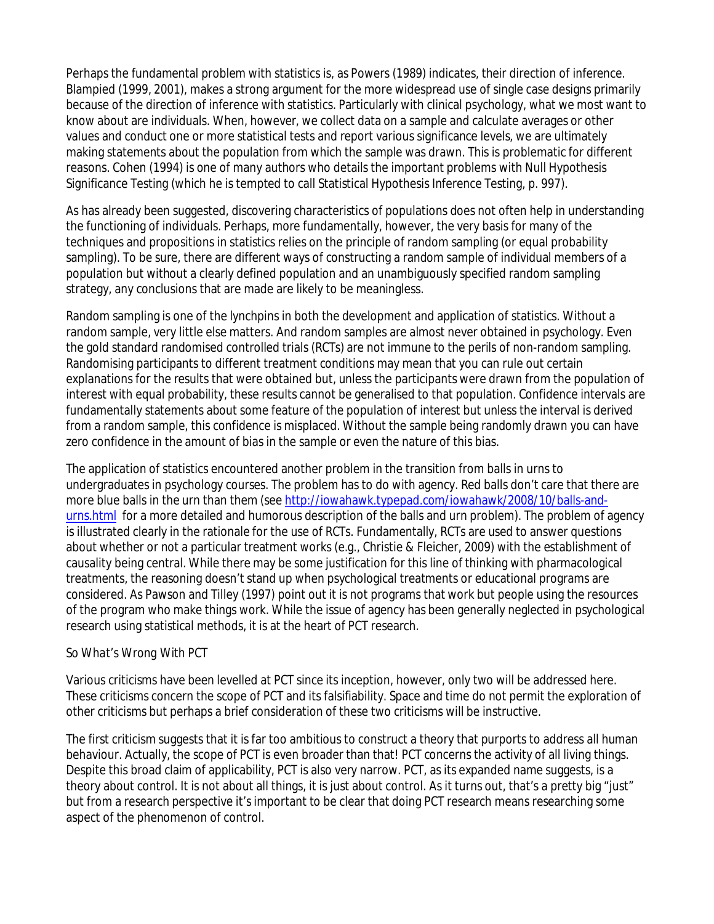Perhaps the fundamental problem with statistics is, as Powers (1989) indicates, their direction of inference. Blampied (1999, 2001), makes a strong argument for the more widespread use of single case designs primarily because of the direction of inference with statistics. Particularly with clinical psychology, what we most want to know about are individuals. When, however, we collect data on a sample and calculate averages or other values and conduct one or more statistical tests and report various significance levels, we are ultimately making statements about the population from which the sample was drawn. This is problematic for different reasons. Cohen (1994) is one of many authors who details the important problems with Null Hypothesis Significance Testing (which he is tempted to call Statistical Hypothesis Inference Testing, p. 997).

As has already been suggested, discovering characteristics of populations does not often help in understanding the functioning of individuals. Perhaps, more fundamentally, however, the very basis for many of the techniques and propositions in statistics relies on the principle of random sampling (or equal probability sampling). To be sure, there are different ways of constructing a random sample of individual members of a population but without a clearly defined population and an unambiguously specified random sampling strategy, any conclusions that are made are likely to be meaningless.

Random sampling is one of the lynchpins in both the development and application of statistics. Without a random sample, very little else matters. And random samples are almost never obtained in psychology. Even the gold standard randomised controlled trials (RCTs) are not immune to the perils of non-random sampling. Randomising participants to different treatment conditions may mean that you can rule out certain explanations for the results that were obtained but, unless the participants were drawn from the population of interest with equal probability, these results cannot be generalised to that population. Confidence intervals are fundamentally statements about some feature of the population of interest but unless the interval is derived from a random sample, this confidence is misplaced. Without the sample being randomly drawn you can have zero confidence in the amount of bias in the sample or even the nature of this bias.

The application of statistics encountered another problem in the transition from balls in urns to undergraduates in psychology courses. The problem has to do with agency. Red balls don't care that there are more blue balls in the urn than them (see http://iowahawk.typepad.com/iowahawk/2008/10/balls-andurns.html for a more detailed and humorous description of the balls and urn problem). The problem of agency is illustrated clearly in the rationale for the use of RCTs. Fundamentally, RCTs are used to answer questions about whether or not a particular treatment works (e.g., Christie & Fleicher, 2009) with the establishment of causality being central. While there may be some justification for this line of thinking with pharmacological treatments, the reasoning doesn't stand up when psychological treatments or educational programs are considered. As Pawson and Tilley (1997) point out it is not programs that work but people using the resources of the program who make things work. While the issue of agency has been generally neglected in psychological research using statistical methods, it is at the heart of PCT research.

# *So What's Wrong With PCT*

Various criticisms have been levelled at PCT since its inception, however, only two will be addressed here. These criticisms concern the scope of PCT and its falsifiability. Space and time do not permit the exploration of other criticisms but perhaps a brief consideration of these two criticisms will be instructive.

The first criticism suggests that it is far too ambitious to construct a theory that purports to address all human behaviour. Actually, the scope of PCT is even broader than that! PCT concerns the activity of all living things. Despite this broad claim of applicability, PCT is also very narrow. PCT, as its expanded name suggests, is a theory about control. It is not about all things, it is just about control. As it turns out, that's a pretty big "just" but from a research perspective it's important to be clear that doing PCT research means researching some aspect of the phenomenon of control.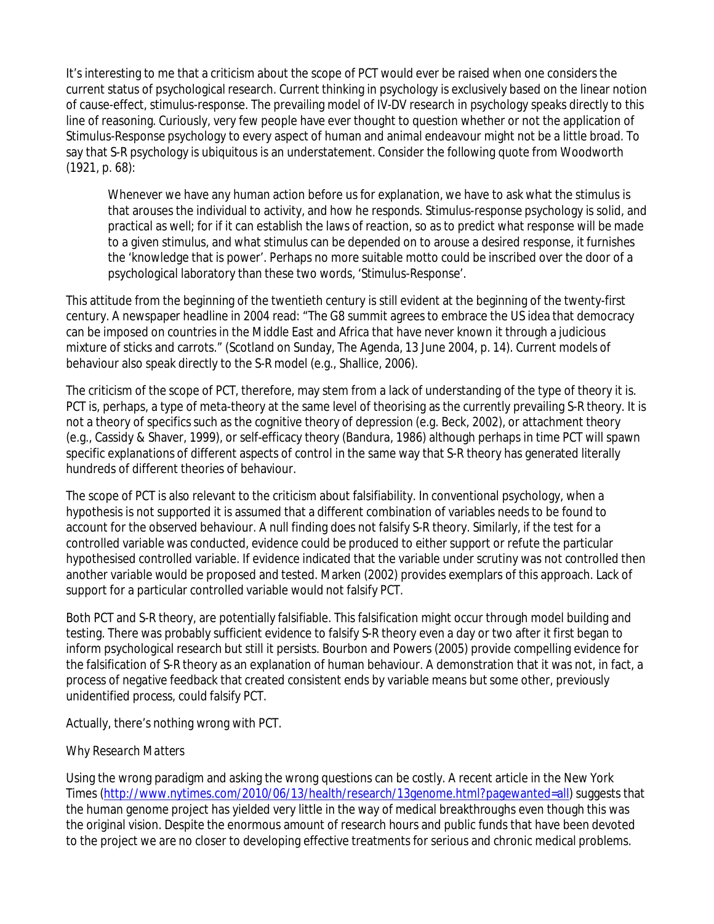It's interesting to me that a criticism about the scope of PCT would ever be raised when one considers the current status of psychological research. Current thinking in psychology is *exclusively* based on the linear notion of cause-effect, stimulus-response. The prevailing model of IV-DV research in psychology speaks directly to this line of reasoning. Curiously, very few people have ever thought to question whether or not the application of Stimulus-Response psychology to every aspect of human and animal endeavour might not be a little broad. To say that S-R psychology is ubiquitous is an understatement. Consider the following quote from Woodworth (1921, p. 68):

Whenever we have any human action before us for explanation, we have to ask what the stimulus is that arouses the individual to activity, and how he responds. Stimulus-response psychology is solid, and practical as well; for if it can establish the laws of reaction, so as to predict what response will be made to a given stimulus, and what stimulus can be depended on to arouse a desired response, it furnishes the 'knowledge that is power'. Perhaps no more suitable motto could be inscribed over the door of a psychological laboratory than these two words, 'Stimulus-Response'.

This attitude from the beginning of the twentieth century is still evident at the beginning of the twenty-first century. A newspaper headline in 2004 read: "The G8 summit agrees to embrace the US idea that democracy can be imposed on countries in the Middle East and Africa that have never known it through a judicious mixture of sticks and carrots." (Scotland on Sunday, The Agenda, 13 June 2004, p. 14). Current models of behaviour also speak directly to the S-R model (e.g., Shallice, 2006).

The criticism of the scope of PCT, therefore, may stem from a lack of understanding of the type of theory it is. PCT is, perhaps, a type of meta-theory at the same level of theorising as the currently prevailing S-R theory. It is not a theory of specifics such as the cognitive theory of depression (e.g. Beck, 2002), or attachment theory (e.g., Cassidy & Shaver, 1999), or self-efficacy theory (Bandura, 1986) although perhaps in time PCT will spawn specific explanations of different aspects of control in the same way that S-R theory has generated literally hundreds of different theories of behaviour.

The scope of PCT is also relevant to the criticism about falsifiability. In conventional psychology, when a hypothesis is not supported it is assumed that a different combination of variables needs to be found to account for the observed behaviour. A null finding does not falsify S-R theory. Similarly, if the test for a controlled variable was conducted, evidence could be produced to either support or refute the particular hypothesised controlled variable. If evidence indicated that the variable under scrutiny was not controlled then another variable would be proposed and tested. Marken (2002) provides exemplars of this approach. Lack of support for a particular controlled variable would not falsify PCT.

Both PCT and S-R theory, are potentially falsifiable. This falsification might occur through model building and testing. There was probably sufficient evidence to falsify S-R theory even a day or two after it first began to inform psychological research but still it persists. Bourbon and Powers (2005) provide compelling evidence for the falsification of S-R theory as an explanation of human behaviour. A demonstration that it was not, in fact, a process of negative feedback that created consistent ends by variable means but some other, previously unidentified process, could falsify PCT.

Actually, there's nothing wrong with PCT.

# *Why Research Matters*

Using the wrong paradigm and asking the wrong questions can be costly. A recent article in the New York Times (http://www.nytimes.com/2010/06/13/health/research/13genome.html?pagewanted=all) suggests that the human genome project has yielded very little in the way of medical breakthroughs even though this was the original vision. Despite the enormous amount of research hours and public funds that have been devoted to the project we are no closer to developing effective treatments for serious and chronic medical problems.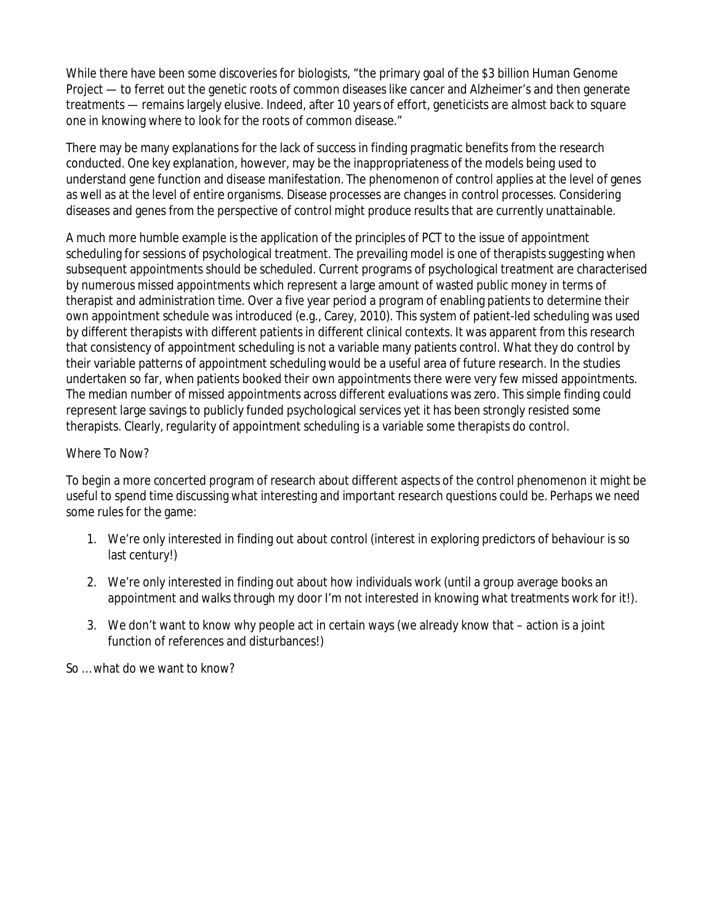While there have been some discoveries for biologists, "the primary goal of the \$3 billion Human Genome Project — to ferret out the genetic roots of common diseases like cancer and Alzheimer's and then generate treatments — remains largely elusive. Indeed, after 10 years of effort, geneticists are almost back to square one in knowing where to look for the roots of common disease."

There may be many explanations for the lack of success in finding pragmatic benefits from the research conducted. One key explanation, however, may be the inappropriateness of the models being used to understand gene function and disease manifestation. The phenomenon of control applies at the level of genes as well as at the level of entire organisms. Disease processes are changes in control processes. Considering diseases and genes from the perspective of control might produce results that are currently unattainable.

A much more humble example is the application of the principles of PCT to the issue of appointment scheduling for sessions of psychological treatment. The prevailing model is one of therapists suggesting when subsequent appointments should be scheduled. Current programs of psychological treatment are characterised by numerous missed appointments which represent a large amount of wasted public money in terms of therapist and administration time. Over a five year period a program of enabling patients to determine their own appointment schedule was introduced (e.g., Carey, 2010). This system of patient-led scheduling was used by different therapists with different patients in different clinical contexts. It was apparent from this research that consistency of appointment scheduling is not a variable many patients control. What they do control by their variable patterns of appointment scheduling would be a useful area of future research. In the studies undertaken so far, when patients booked their own appointments there were very few missed appointments. The median number of missed appointments across different evaluations was zero. This simple finding could represent large savings to publicly funded psychological services yet it has been strongly resisted some therapists. Clearly, regularity of appointment scheduling is a variable some therapists *do* control.

# *Where To Now?*

To begin a more concerted program of research about different aspects of the control phenomenon it might be useful to spend time discussing what interesting and important research questions could be. Perhaps we need some rules for the game:

- 1. We're only interested in finding out about control (interest in exploring predictors of behaviour is so last century!)
- 2. We're only interested in finding out about how individuals work (until a group average books an appointment and walks through my door I'm not interested in knowing what treatments work for it!).
- 3. We don't want to know why people act in certain ways (we already know that action is a joint function of references and disturbances!)

So … what do we want to know?